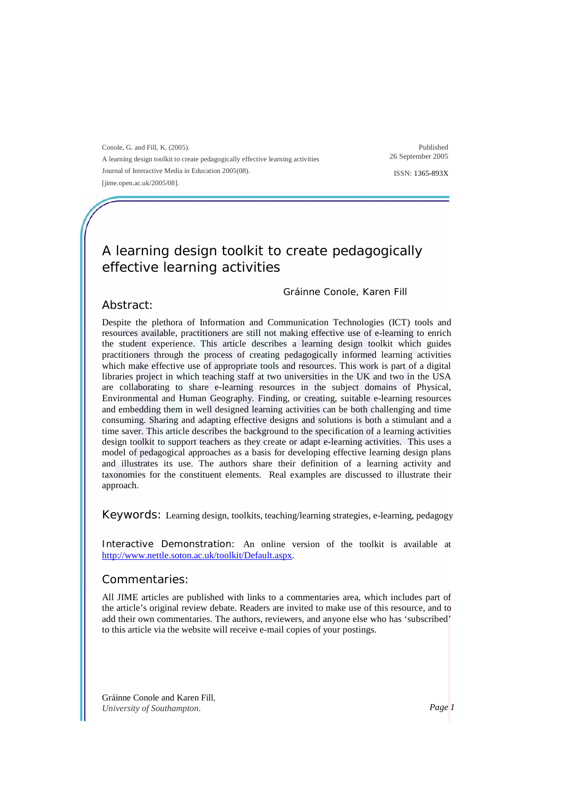Conole, G. and Fill, K. (2005). A learning design toolkit to create pedagogically effective learning activities Journal of Interactive Media in Education 2005(08). [jime.open.ac.uk/2005/08].

Published 26 September 2005

ISSN: 1365-893X

## A learning design toolkit to create pedagogically effective learning activities

### Gráinne Conole, Karen Fill

### Abstract:

Despite the plethora of Information and Communication Technologies (ICT) tools and resources available, practitioners are still not making effective use of e-learning to enrich the student experience. This article describes a learning design toolkit which guides practitioners through the process of creating pedagogically informed learning activities which make effective use of appropriate tools and resources. This work is part of a digital libraries project in which teaching staff at two universities in the UK and two in the USA are collaborating to share e-learning resources in the subject domains of Physical, Environmental and Human Geography. Finding, or creating, suitable e-learning resources and embedding them in well designed learning activities can be both challenging and time consuming. Sharing and adapting effective designs and solutions is both a stimulant and a time saver. This article describes the background to the specification of a learning activities design toolkit to support teachers as they create or adapt e-learning activities. This uses a model of pedagogical approaches as a basis for developing effective learning design plans and illustrates its use. The authors share their definition of a learning activity and taxonomies for the constituent elements. Real examples are discussed to illustrate their approach.

Keywords: Learning design, toolkits, teaching/learning strategies, e-learning, pedagogy

Interactive Demonstration: An online version of the toolkit is available at http://www.nettle.soton.ac.uk/toolkit/Default.aspx.

### Commentaries:

All JIME articles are published with links to a commentaries area, which includes part of the article's original review debate. Readers are invited to make use of this resource, and to add their own commentaries. The authors, reviewers, and anyone else who has 'subscribed' to this article via the website will receive e-mail copies of your postings.

Gráinne Conole and Karen Fill*, University of Southampton. Page 1*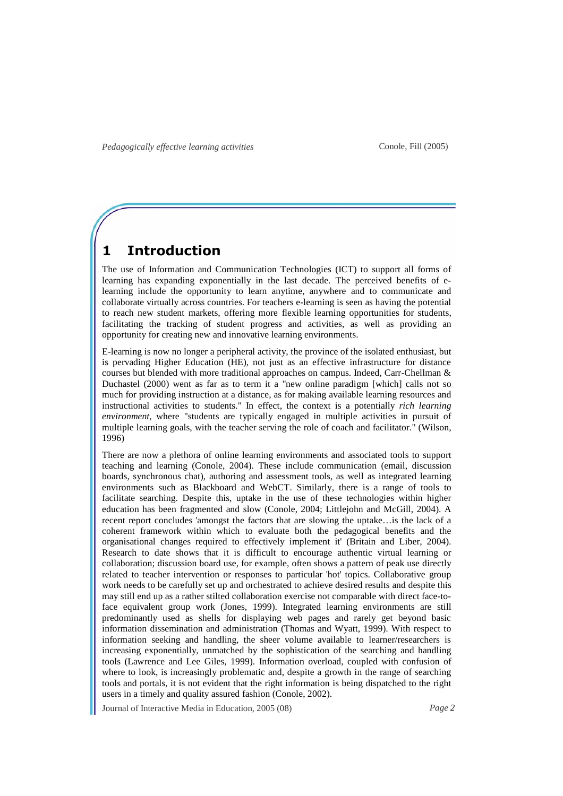## **1 Introduction**

The use of Information and Communication Technologies (ICT) to support all forms of learning has expanding exponentially in the last decade. The perceived benefits of elearning include the opportunity to learn anytime, anywhere and to communicate and collaborate virtually across countries. For teachers e-learning is seen as having the potential to reach new student markets, offering more flexible learning opportunities for students, facilitating the tracking of student progress and activities, as well as providing an opportunity for creating new and innovative learning environments.

E-learning is now no longer a peripheral activity, the province of the isolated enthusiast, but is pervading Higher Education (HE), not just as an effective infrastructure for distance courses but blended with more traditional approaches on campus. Indeed, Carr-Chellman & Duchastel (2000) went as far as to term it a "new online paradigm [which] calls not so much for providing instruction at a distance, as for making available learning resources and instructional activities to students." In effect, the context is a potentially *rich learning environment*, where "students are typically engaged in multiple activities in pursuit of multiple learning goals, with the teacher serving the role of coach and facilitator." (Wilson, 1996)

There are now a plethora of online learning environments and associated tools to support teaching and learning (Conole, 2004). These include communication (email, discussion boards, synchronous chat), authoring and assessment tools, as well as integrated learning environments such as Blackboard and WebCT. Similarly, there is a range of tools to facilitate searching. Despite this, uptake in the use of these technologies within higher education has been fragmented and slow (Conole, 2004; Littlejohn and McGill, 2004). A recent report concludes 'amongst the factors that are slowing the uptake…is the lack of a coherent framework within which to evaluate both the pedagogical benefits and the organisational changes required to effectively implement it' (Britain and Liber, 2004). Research to date shows that it is difficult to encourage authentic virtual learning or collaboration; discussion board use, for example, often shows a pattern of peak use directly related to teacher intervention or responses to particular 'hot' topics. Collaborative group work needs to be carefully set up and orchestrated to achieve desired results and despite this may still end up as a rather stilted collaboration exercise not comparable with direct face-toface equivalent group work (Jones, 1999). Integrated learning environments are still predominantly used as shells for displaying web pages and rarely get beyond basic information dissemination and administration (Thomas and Wyatt, 1999). With respect to information seeking and handling, the sheer volume available to learner/researchers is increasing exponentially, unmatched by the sophistication of the searching and handling tools (Lawrence and Lee Giles, 1999). Information overload, coupled with confusion of where to look, is increasingly problematic and, despite a growth in the range of searching tools and portals, it is not evident that the right information is being dispatched to the right users in a timely and quality assured fashion (Conole, 2002).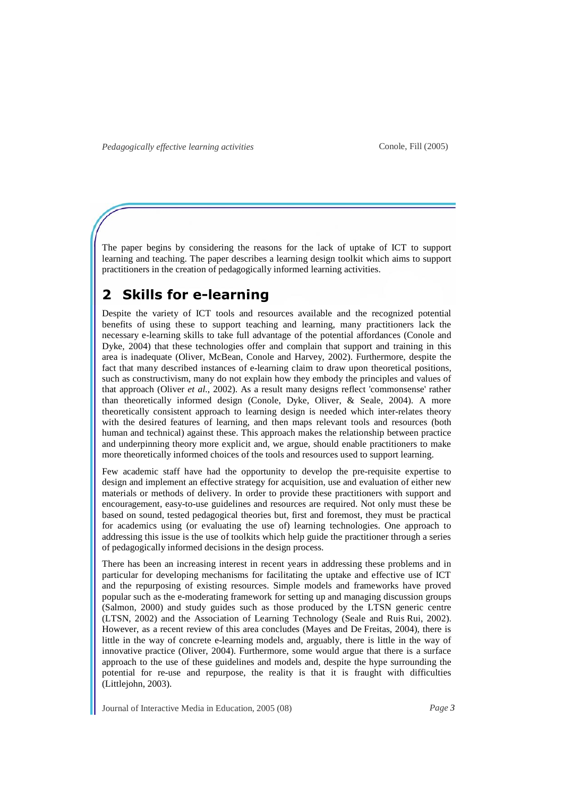The paper begins by considering the reasons for the lack of uptake of ICT to support learning and teaching. The paper describes a learning design toolkit which aims to support practitioners in the creation of pedagogically informed learning activities.

# **2 Skills for e-learning**

Despite the variety of ICT tools and resources available and the recognized potential benefits of using these to support teaching and learning, many practitioners lack the necessary e-learning skills to take full advantage of the potential affordances (Conole and Dyke, 2004) that these technologies offer and complain that support and training in this area is inadequate (Oliver, McBean, Conole and Harvey, 2002). Furthermore, despite the fact that many described instances of e-learning claim to draw upon theoretical positions, such as constructivism, many do not explain how they embody the principles and values of that approach (Oliver *et al.*, 2002). As a result many designs reflect 'commonsense' rather than theoretically informed design (Conole, Dyke, Oliver, & Seale, 2004). A more theoretically consistent approach to learning design is needed which inter-relates theory with the desired features of learning, and then maps relevant tools and resources (both human and technical) against these. This approach makes the relationship between practice and underpinning theory more explicit and, we argue, should enable practitioners to make more theoretically informed choices of the tools and resources used to support learning.

Few academic staff have had the opportunity to develop the pre-requisite expertise to design and implement an effective strategy for acquisition, use and evaluation of either new materials or methods of delivery. In order to provide these practitioners with support and encouragement, easy-to-use guidelines and resources are required. Not only must these be based on sound, tested pedagogical theories but, first and foremost, they must be practical for academics using (or evaluating the use of) learning technologies. One approach to addressing this issue is the use of toolkits which help guide the practitioner through a series of pedagogically informed decisions in the design process.

There has been an increasing interest in recent years in addressing these problems and in particular for developing mechanisms for facilitating the uptake and effective use of ICT and the repurposing of existing resources. Simple models and frameworks have proved popular such as the e-moderating framework for setting up and managing discussion groups (Salmon, 2000) and study guides such as those produced by the LTSN generic centre (LTSN, 2002) and the Association of Learning Technology (Seale and Ruis Rui, 2002). However, as a recent review of this area concludes (Mayes and De Freitas, 2004), there is little in the way of concrete e-learning models and, arguably, there is little in the way of innovative practice (Oliver, 2004). Furthermore, some would argue that there is a surface approach to the use of these guidelines and models and, despite the hype surrounding the potential for re-use and repurpose, the reality is that it is fraught with difficulties (Littlejohn, 2003).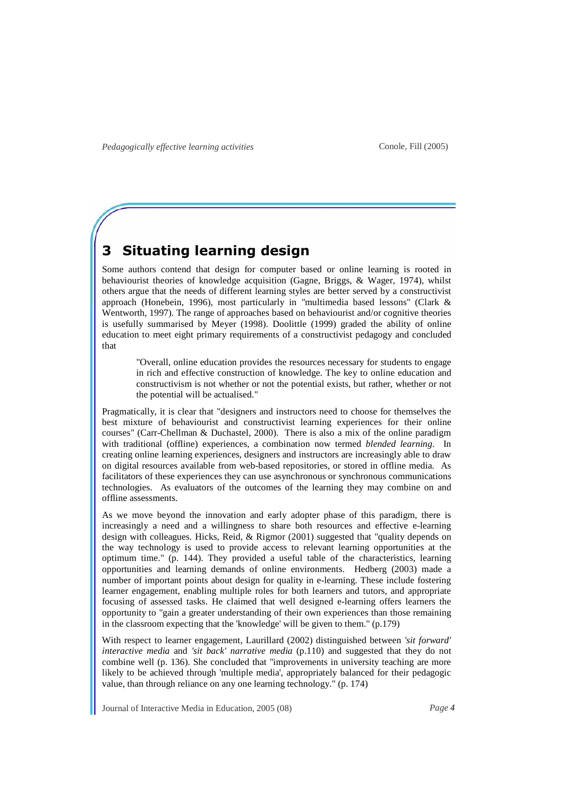# **3 Situating learning design**

Some authors contend that design for computer based or online learning is rooted in behaviourist theories of knowledge acquisition (Gagne, Briggs, & Wager, 1974), whilst others argue that the needs of different learning styles are better served by a constructivist approach (Honebein, 1996), most particularly in "multimedia based lessons" (Clark & Wentworth, 1997). The range of approaches based on behaviourist and/or cognitive theories is usefully summarised by Meyer (1998). Doolittle (1999) graded the ability of online education to meet eight primary requirements of a constructivist pedagogy and concluded that

"Overall, online education provides the resources necessary for students to engage in rich and effective construction of knowledge. The key to online education and constructivism is not whether or not the potential exists, but rather, whether or not the potential will be actualised."

Pragmatically, it is clear that "designers and instructors need to choose for themselves the best mixture of behaviourist and constructivist learning experiences for their online courses" (Carr-Chellman & Duchastel, 2000). There is also a mix of the online paradigm with traditional (offline) experiences, a combination now termed *blended learning*. In creating online learning experiences, designers and instructors are increasingly able to draw on digital resources available from web-based repositories, or stored in offline media. As facilitators of these experiences they can use asynchronous or synchronous communications technologies. As evaluators of the outcomes of the learning they may combine on and offline assessments.

As we move beyond the innovation and early adopter phase of this paradigm, there is increasingly a need and a willingness to share both resources and effective e-learning design with colleagues. Hicks, Reid, & Rigmor (2001) suggested that "quality depends on the way technology is used to provide access to relevant learning opportunities at the optimum time." (p. 144). They provided a useful table of the characteristics, learning opportunities and learning demands of online environments. Hedberg (2003) made a number of important points about design for quality in e-learning. These include fostering learner engagement, enabling multiple roles for both learners and tutors, and appropriate focusing of assessed tasks. He claimed that well designed e-learning offers learners the opportunity to "gain a greater understanding of their own experiences than those remaining in the classroom expecting that the 'knowledge' will be given to them." (p.179)

With respect to learner engagement, Laurillard (2002) distinguished between *'sit forward' interactive media* and *'sit back' narrative media* (p.110) and suggested that they do not combine well (p. 136). She concluded that "improvements in university teaching are more likely to be achieved through 'multiple media', appropriately balanced for their pedagogic value, than through reliance on any one learning technology." (p. 174)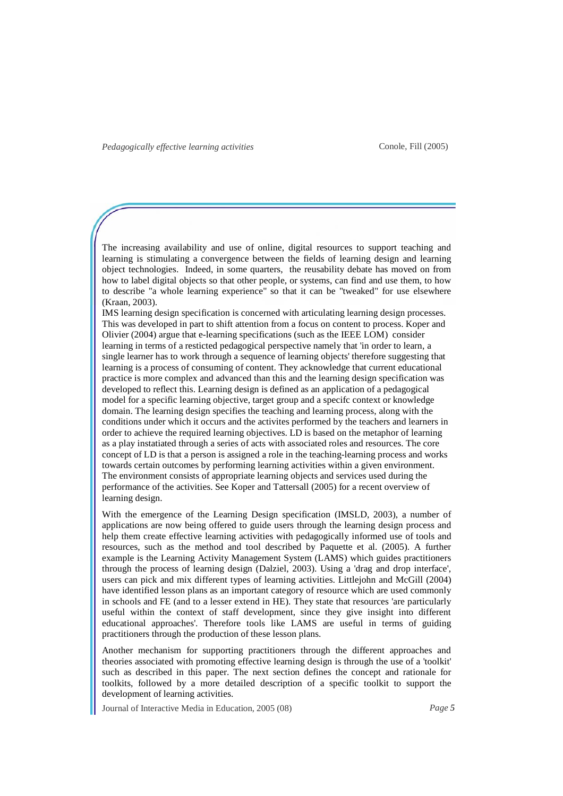The increasing availability and use of online, digital resources to support teaching and learning is stimulating a convergence between the fields of learning design and learning object technologies. Indeed, in some quarters, the reusability debate has moved on from how to label digital objects so that other people, or systems, can find and use them, to how to describe "a whole learning experience" so that it can be "tweaked" for use elsewhere (Kraan, 2003).

IMS learning design specification is concerned with articulating learning design processes. This was developed in part to shift attention from a focus on content to process. Koper and Olivier (2004) argue that e-learning specifications (such as the IEEE LOM) consider learning in terms of a resticted pedagogical perspective namely that 'in order to learn, a single learner has to work through a sequence of learning objects' therefore suggesting that learning is a process of consuming of content. They acknowledge that current educational practice is more complex and advanced than this and the learning design specification was developed to reflect this. Learning design is defined as an application of a pedagogical model for a specific learning objective, target group and a specifc context or knowledge domain. The learning design specifies the teaching and learning process, along with the conditions under which it occurs and the activites performed by the teachers and learners in order to achieve the required learning objectives. LD is based on the metaphor of learning as a play instatiated through a series of acts with associated roles and resources. The core concept of LD is that a person is assigned a role in the teaching-learning process and works towards certain outcomes by performing learning activities within a given environment. The environment consists of appropriate learning objects and services used during the performance of the activities. See Koper and Tattersall (2005) for a recent overview of learning design.

With the emergence of the Learning Design specification (IMSLD, 2003), a number of applications are now being offered to guide users through the learning design process and help them create effective learning activities with pedagogically informed use of tools and resources, such as the method and tool described by Paquette et al. (2005). A further example is the Learning Activity Management System (LAMS) which guides practitioners through the process of learning design (Dalziel, 2003). Using a 'drag and drop interface', users can pick and mix different types of learning activities. Littlejohn and McGill (2004) have identified lesson plans as an important category of resource which are used commonly in schools and FE (and to a lesser extend in HE). They state that resources 'are particularly useful within the context of staff development, since they give insight into different educational approaches'. Therefore tools like LAMS are useful in terms of guiding practitioners through the production of these lesson plans.

Another mechanism for supporting practitioners through the different approaches and theories associated with promoting effective learning design is through the use of a 'toolkit' such as described in this paper. The next section defines the concept and rationale for toolkits, followed by a more detailed description of a specific toolkit to support the development of learning activities.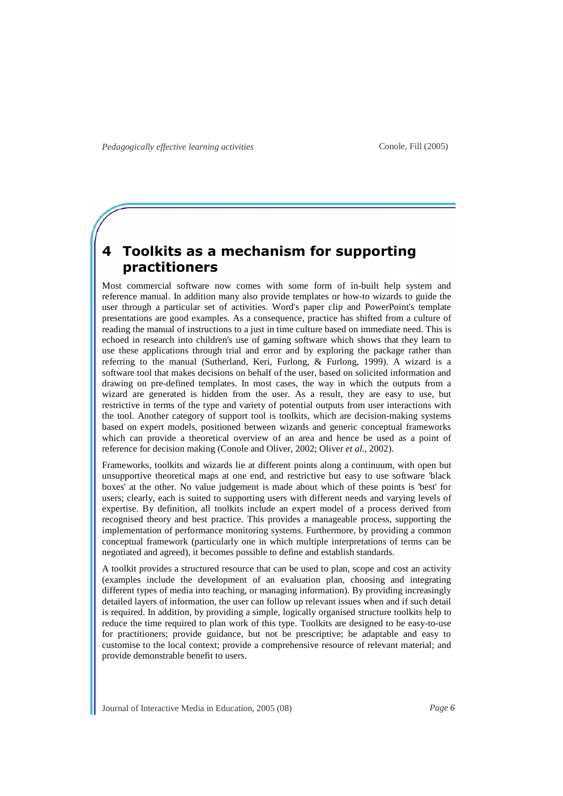# **4 Toolkits as a mechanism for supporting practitioners**

Most commercial software now comes with some form of in-built help system and reference manual. In addition many also provide templates or how-to wizards to guide the user through a particular set of activities. Word's paper clip and PowerPoint's template presentations are good examples. As a consequence, practice has shifted from a culture of reading the manual of instructions to a just in time culture based on immediate need. This is echoed in research into children's use of gaming software which shows that they learn to use these applications through trial and error and by exploring the package rather than referring to the manual (Sutherland, Keri, Furlong, & Furlong, 1999). A wizard is a software tool that makes decisions on behalf of the user, based on solicited information and drawing on pre-defined templates. In most cases, the way in which the outputs from a wizard are generated is hidden from the user. As a result, they are easy to use, but restrictive in terms of the type and variety of potential outputs from user interactions with the tool. Another category of support tool is toolkits, which are decision-making systems based on expert models, positioned between wizards and generic conceptual frameworks which can provide a theoretical overview of an area and hence be used as a point of reference for decision making (Conole and Oliver, 2002; Oliver *et al.*, 2002).

Frameworks, toolkits and wizards lie at different points along a continuum, with open but unsupportive theoretical maps at one end, and restrictive but easy to use software 'black boxes' at the other. No value judgement is made about which of these points is 'best' for users; clearly, each is suited to supporting users with different needs and varying levels of expertise. By definition, all toolkits include an expert model of a process derived from recognised theory and best practice. This provides a manageable process, supporting the implementation of performance monitoring systems. Furthermore, by providing a common conceptual framework (particularly one in which multiple interpretations of terms can be negotiated and agreed), it becomes possible to define and establish standards.

A toolkit provides a structured resource that can be used to plan, scope and cost an activity (examples include the development of an evaluation plan, choosing and integrating different types of media into teaching, or managing information). By providing increasingly detailed layers of information, the user can follow up relevant issues when and if such detail is required. In addition, by providing a simple, logically organised structure toolkits help to reduce the time required to plan work of this type. Toolkits are designed to be easy-to-use for practitioners; provide guidance, but not be prescriptive; be adaptable and easy to customise to the local context; provide a comprehensive resource of relevant material; and provide demonstrable benefit to users.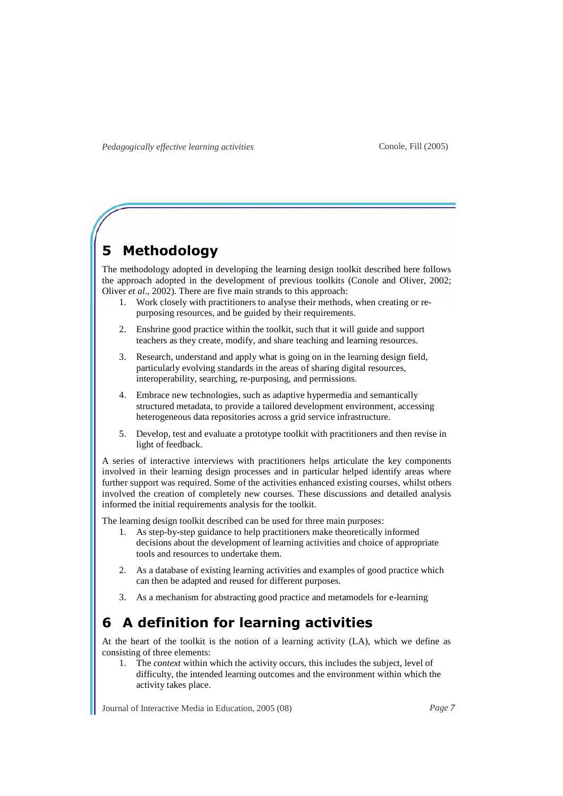# **5 Methodology**

The methodology adopted in developing the learning design toolkit described here follows the approach adopted in the development of previous toolkits (Conole and Oliver, 2002; Oliver *et al.*, 2002). There are five main strands to this approach:

- 1. Work closely with practitioners to analyse their methods, when creating or repurposing resources, and be guided by their requirements.
- 2. Enshrine good practice within the toolkit, such that it will guide and support teachers as they create, modify, and share teaching and learning resources.
- 3. Research, understand and apply what is going on in the learning design field, particularly evolving standards in the areas of sharing digital resources, interoperability, searching, re-purposing, and permissions.
- Embrace new technologies, such as adaptive hypermedia and semantically structured metadata, to provide a tailored development environment, accessing heterogeneous data repositories across a grid service infrastructure.
- 5. Develop, test and evaluate a prototype toolkit with practitioners and then revise in light of feedback.

A series of interactive interviews with practitioners helps articulate the key components involved in their learning design processes and in particular helped identify areas where further support was required. Some of the activities enhanced existing courses, whilst others involved the creation of completely new courses. These discussions and detailed analysis informed the initial requirements analysis for the toolkit.

The learning design toolkit described can be used for three main purposes:

- 1. As step-by-step guidance to help practitioners make theoretically informed decisions about the development of learning activities and choice of appropriate tools and resources to undertake them.
- 2. As a database of existing learning activities and examples of good practice which can then be adapted and reused for different purposes.
- 3. As a mechanism for abstracting good practice and metamodels for e-learning

# **6 A definition for learning activities**

At the heart of the toolkit is the notion of a learning activity (LA), which we define as consisting of three elements:

1. The *context* within which the activity occurs, this includes the subject, level of difficulty, the intended learning outcomes and the environment within which the activity takes place.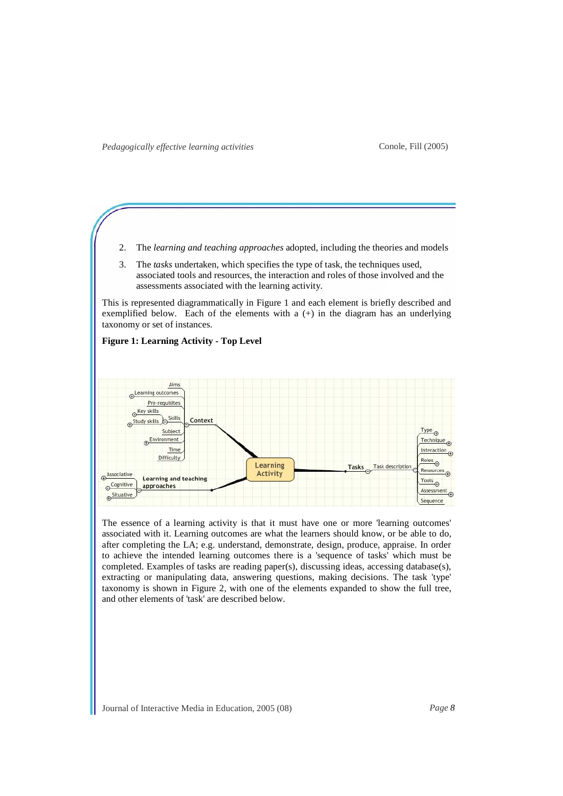**Figure 1: Learning Activity - Top Level** 

- 2. The *learning and teaching approaches* adopted, including the theories and models
- 3. The *tasks* undertaken, which specifies the type of task, the techniques used, associated tools and resources, the interaction and roles of those involved and the assessments associated with the learning activity.

This is represented diagrammatically in Figure 1 and each element is briefly described and exemplified below. Each of the elements with a  $(+)$  in the diagram has an underlying taxonomy or set of instances.



The essence of a learning activity is that it must have one or more 'learning outcomes' associated with it. Learning outcomes are what the learners should know, or be able to do, after completing the LA; e.g. understand, demonstrate, design, produce, appraise. In order to achieve the intended learning outcomes there is a 'sequence of tasks' which must be completed. Examples of tasks are reading paper(s), discussing ideas, accessing database(s), extracting or manipulating data, answering questions, making decisions. The task 'type' taxonomy is shown in Figure 2, with one of the elements expanded to show the full tree,

Journal of Interactive Media in Education, 2005 (08) *Page 8*

and other elements of 'task' are described below.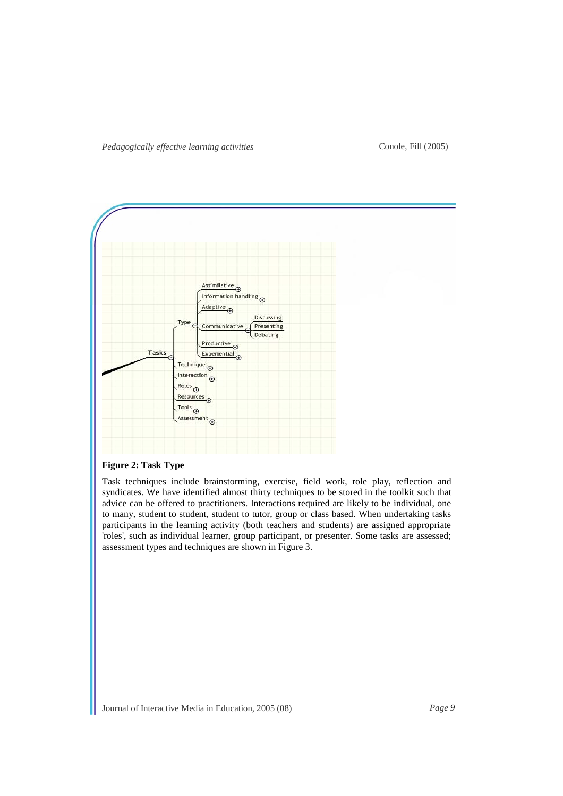

## **Figure 2: Task Type**

Task techniques include brainstorming, exercise, field work, role play, reflection and syndicates. We have identified almost thirty techniques to be stored in the toolkit such that advice can be offered to practitioners. Interactions required are likely to be individual, one to many, student to student, student to tutor, group or class based. When undertaking tasks participants in the learning activity (both teachers and students) are assigned appropriate 'roles', such as individual learner, group participant, or presenter. Some tasks are assessed; assessment types and techniques are shown in Figure 3.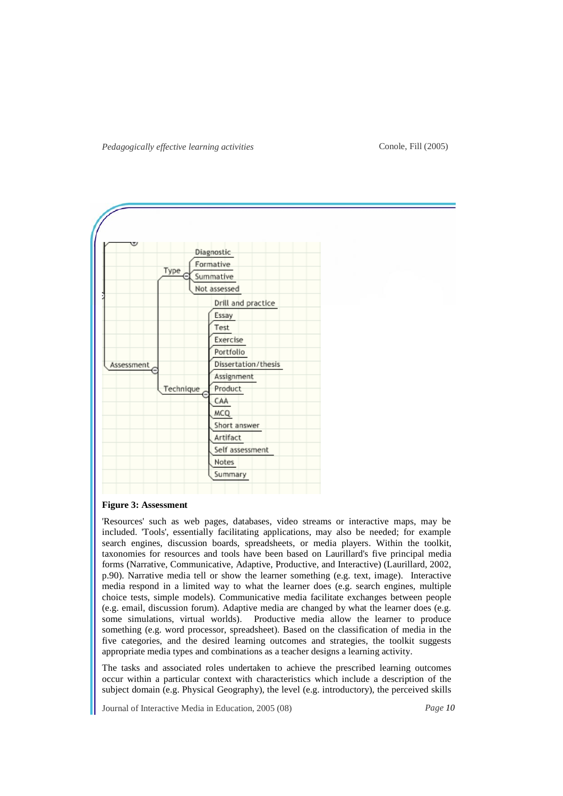#### Conole, Fill (2005)



#### **Figure 3: Assessment**

'Resources' such as web pages, databases, video streams or interactive maps, may be included. 'Tools', essentially facilitating applications, may also be needed; for example search engines, discussion boards, spreadsheets, or media players. Within the toolkit, taxonomies for resources and tools have been based on Laurillard's five principal media forms (Narrative, Communicative, Adaptive, Productive, and Interactive) (Laurillard, 2002, p.90). Narrative media tell or show the learner something (e.g. text, image). Interactive media respond in a limited way to what the learner does (e.g. search engines, multiple choice tests, simple models). Communicative media facilitate exchanges between people (e.g. email, discussion forum). Adaptive media are changed by what the learner does (e.g. some simulations, virtual worlds). Productive media allow the learner to produce something (e.g. word processor, spreadsheet). Based on the classification of media in the five categories, and the desired learning outcomes and strategies, the toolkit suggests appropriate media types and combinations as a teacher designs a learning activity.

The tasks and associated roles undertaken to achieve the prescribed learning outcomes occur within a particular context with characteristics which include a description of the subject domain (e.g. Physical Geography), the level (e.g. introductory), the perceived skills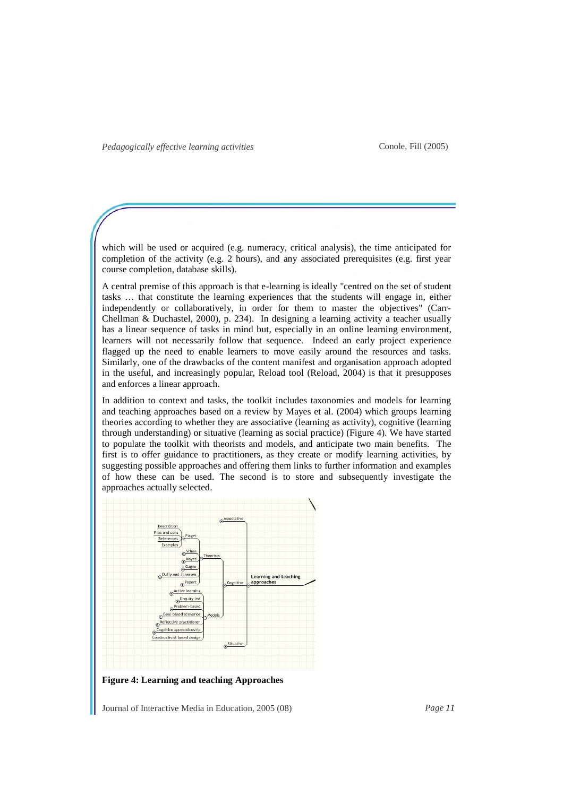which will be used or acquired (e.g. numeracy, critical analysis), the time anticipated for completion of the activity (e.g. 2 hours), and any associated prerequisites (e.g. first year course completion, database skills).

A central premise of this approach is that e-learning is ideally "centred on the set of student tasks … that constitute the learning experiences that the students will engage in, either independently or collaboratively, in order for them to master the objectives" (Carr-Chellman & Duchastel, 2000), p. 234). In designing a learning activity a teacher usually has a linear sequence of tasks in mind but, especially in an online learning environment, learners will not necessarily follow that sequence. Indeed an early project experience flagged up the need to enable learners to move easily around the resources and tasks. Similarly, one of the drawbacks of the content manifest and organisation approach adopted in the useful, and increasingly popular, Reload tool (Reload, 2004) is that it presupposes and enforces a linear approach.

In addition to context and tasks, the toolkit includes taxonomies and models for learning and teaching approaches based on a review by Mayes et al. (2004) which groups learning theories according to whether they are associative (learning as activity), cognitive (learning through understanding) or situative (learning as social practice) (Figure 4). We have started to populate the toolkit with theorists and models, and anticipate two main benefits. The first is to offer guidance to practitioners, as they create or modify learning activities, by suggesting possible approaches and offering them links to further information and examples of how these can be used. The second is to store and subsequently investigate the approaches actually selected.



**Figure 4: Learning and teaching Approaches**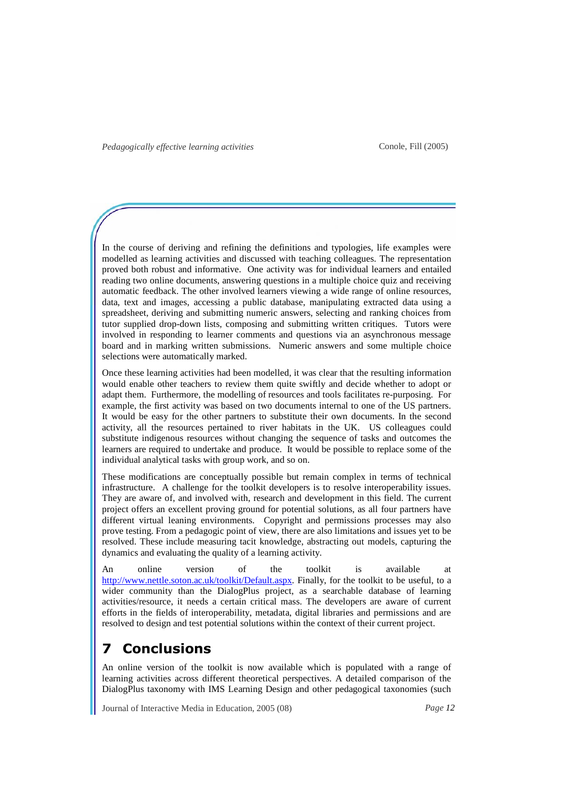In the course of deriving and refining the definitions and typologies, life examples were modelled as learning activities and discussed with teaching colleagues. The representation proved both robust and informative. One activity was for individual learners and entailed reading two online documents, answering questions in a multiple choice quiz and receiving automatic feedback. The other involved learners viewing a wide range of online resources, data, text and images, accessing a public database, manipulating extracted data using a spreadsheet, deriving and submitting numeric answers, selecting and ranking choices from tutor supplied drop-down lists, composing and submitting written critiques. Tutors were involved in responding to learner comments and questions via an asynchronous message board and in marking written submissions. Numeric answers and some multiple choice selections were automatically marked.

Once these learning activities had been modelled, it was clear that the resulting information would enable other teachers to review them quite swiftly and decide whether to adopt or adapt them. Furthermore, the modelling of resources and tools facilitates re-purposing. For example, the first activity was based on two documents internal to one of the US partners. It would be easy for the other partners to substitute their own documents. In the second activity, all the resources pertained to river habitats in the UK. US colleagues could substitute indigenous resources without changing the sequence of tasks and outcomes the learners are required to undertake and produce. It would be possible to replace some of the individual analytical tasks with group work, and so on.

These modifications are conceptually possible but remain complex in terms of technical infrastructure. A challenge for the toolkit developers is to resolve interoperability issues. They are aware of, and involved with, research and development in this field. The current project offers an excellent proving ground for potential solutions, as all four partners have different virtual leaning environments. Copyright and permissions processes may also prove testing. From a pedagogic point of view, there are also limitations and issues yet to be resolved. These include measuring tacit knowledge, abstracting out models, capturing the dynamics and evaluating the quality of a learning activity.

An online version of the toolkit is available at http://www.nettle.soton.ac.uk/toolkit/Default.aspx. Finally, for the toolkit to be useful, to a wider community than the DialogPlus project, as a searchable database of learning activities/resource, it needs a certain critical mass. The developers are aware of current efforts in the fields of interoperability, metadata, digital libraries and permissions and are resolved to design and test potential solutions within the context of their current project.

# **7 Conclusions**

An online version of the toolkit is now available which is populated with a range of learning activities across different theoretical perspectives. A detailed comparison of the DialogPlus taxonomy with IMS Learning Design and other pedagogical taxonomies (such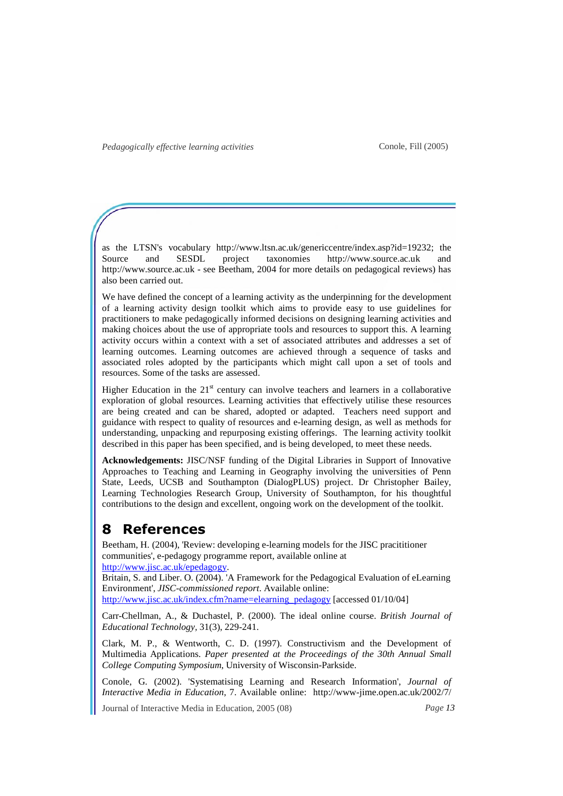as the LTSN's vocabulary http://www.ltsn.ac.uk/genericcentre/index.asp?id=19232; the Source and SESDL project taxonomies http://www.source.ac.uk and http://www.source.ac.uk - see Beetham, 2004 for more details on pedagogical reviews) has also been carried out.

We have defined the concept of a learning activity as the underpinning for the development of a learning activity design toolkit which aims to provide easy to use guidelines for practitioners to make pedagogically informed decisions on designing learning activities and making choices about the use of appropriate tools and resources to support this. A learning activity occurs within a context with a set of associated attributes and addresses a set of learning outcomes. Learning outcomes are achieved through a sequence of tasks and associated roles adopted by the participants which might call upon a set of tools and resources. Some of the tasks are assessed.

Higher Education in the  $21<sup>st</sup>$  century can involve teachers and learners in a collaborative exploration of global resources. Learning activities that effectively utilise these resources are being created and can be shared, adopted or adapted. Teachers need support and guidance with respect to quality of resources and e-learning design, as well as methods for understanding, unpacking and repurposing existing offerings. The learning activity toolkit described in this paper has been specified, and is being developed, to meet these needs.

**Acknowledgements:** JISC/NSF funding of the Digital Libraries in Support of Innovative Approaches to Teaching and Learning in Geography involving the universities of Penn State, Leeds, UCSB and Southampton (DialogPLUS) project. Dr Christopher Bailey, Learning Technologies Research Group, University of Southampton, for his thoughtful contributions to the design and excellent, ongoing work on the development of the toolkit.

# **8 References**

Beetham, H. (2004), 'Review: developing e-learning models for the JISC pracititioner communities', e-pedagogy programme report, available online at http://www.jisc.ac.uk/epedagogy.

Britain, S. and Liber. O. (2004). 'A Framework for the Pedagogical Evaluation of eLearning Environment', *JISC-commissioned report*. Available online:

http://www.jisc.ac.uk/index.cfm?name=elearning\_pedagogy [accessed 01/10/04]

Carr-Chellman, A., & Duchastel, P. (2000). The ideal online course. *British Journal of Educational Technology,* 31(3), 229-241.

Clark, M. P., & Wentworth, C. D. (1997). Constructivism and the Development of Multimedia Applications. *Paper presented at the Proceedings of the 30th Annual Small College Computing Symposium*, University of Wisconsin-Parkside.

Conole, G. (2002). 'Systematising Learning and Research Information', *Journal of Interactive Media in Education*, 7. Available online: http://www-jime.open.ac.uk/2002/7/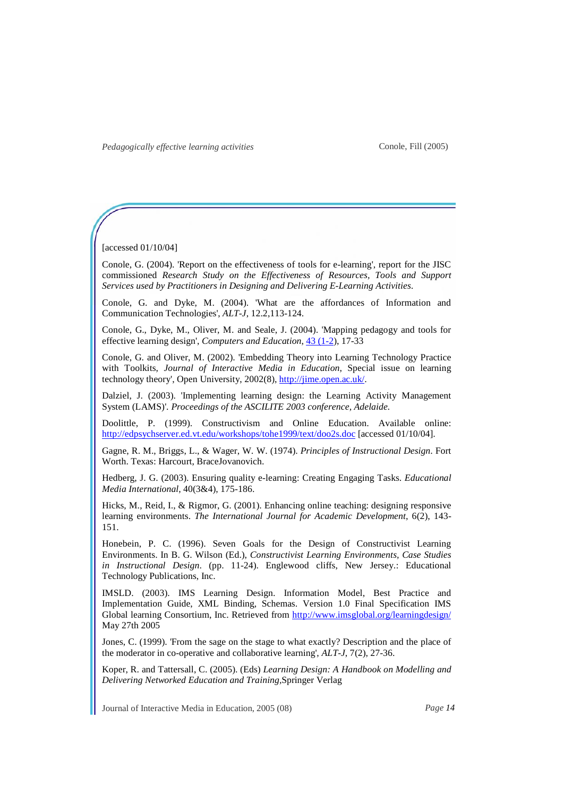Conole, Fill (2005)

[accessed 01/10/04]

Conole, G. (2004). 'Report on the effectiveness of tools for e-learning', report for the JISC commissioned *Research Study on the Effectiveness of Resources, Tools and Support Services used by Practitioners in Designing and Delivering E-Learning Activities*.

Conole, G. and Dyke, M. (2004). 'What are the affordances of Information and Communication Technologies', *ALT-J*, 12.2,113-124.

Conole, G., Dyke, M., Oliver, M. and Seale, J. (2004). 'Mapping pedagogy and tools for effective learning design', *Computers and Education*, 43 (1-2), 17-33

Conole, G. and Oliver, M. (2002). 'Embedding Theory into Learning Technology Practice with Toolkits, *Journal of Interactive Media in Education*, Special issue on learning technology theory', Open University, 2002(8), http://jime.open.ac.uk/.

Dalziel, J. (2003). 'Implementing learning design: the Learning Activity Management System (LAMS)'. *Proceedings of the ASCILITE 2003 conference, Adelaide.* 

Doolittle, P. (1999). Constructivism and Online Education. Available online: http://edpsychserver.ed.vt.edu/workshops/tohe1999/text/doo2s.doc [accessed 01/10/04].

Gagne, R. M., Briggs, L., & Wager, W. W. (1974). *Principles of Instructional Design*. Fort Worth. Texas: Harcourt, BraceJovanovich.

Hedberg, J. G. (2003). Ensuring quality e-learning: Creating Engaging Tasks. *Educational Media International*, 40(3&4), 175-186.

Hicks, M., Reid, I., & Rigmor, G. (2001). Enhancing online teaching: designing responsive learning environments. *The International Journal for Academic Development*, 6(2), 143- 151.

Honebein, P. C. (1996). Seven Goals for the Design of Constructivist Learning Environments. In B. G. Wilson (Ed.), *Constructivist Learning Environments, Case Studies in Instructional Design*. (pp. 11-24). Englewood cliffs, New Jersey.: Educational Technology Publications, Inc.

IMSLD. (2003). IMS Learning Design. Information Model, Best Practice and Implementation Guide, XML Binding, Schemas. Version 1.0 Final Specification IMS Global learning Consortium, Inc. Retrieved from http://www.imsglobal.org/learningdesign/ May 27th 2005

Jones, C. (1999). 'From the sage on the stage to what exactly? Description and the place of the moderator in co-operative and collaborative learning', *ALT-J*, 7(2), 27-36.

Koper, R. and Tattersall, C. (2005). (Eds) *Learning Design: A Handbook on Modelling and Delivering Networked Education and Training,*Springer Verlag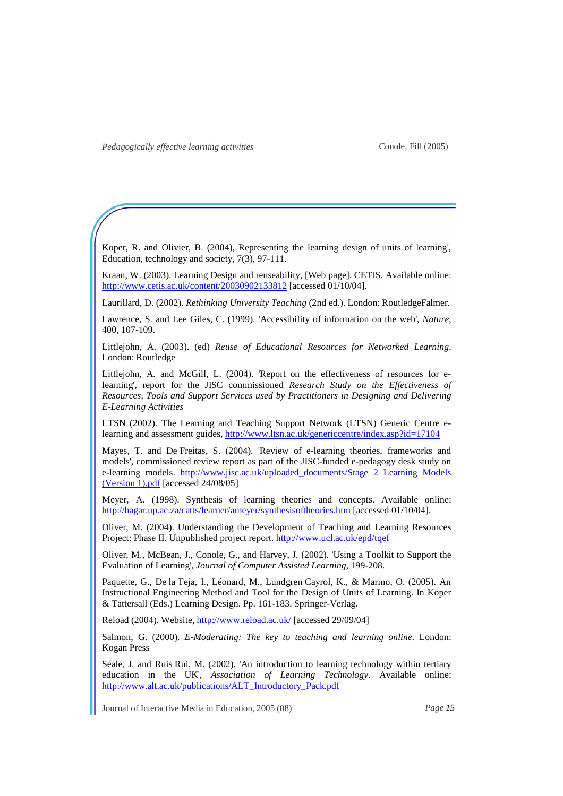Koper, R. and Olivier, B. (2004), Representing the learning design of units of learning', Education, technology and society, 7(3), 97-111.

Kraan, W. (2003). Learning Design and reuseability, [Web page]. CETIS. Available online: http://www.cetis.ac.uk/content/20030902133812 [accessed 01/10/04].

Laurillard, D. (2002). *Rethinking University Teaching* (2nd ed.). London: RoutledgeFalmer.

Lawrence, S. and Lee Giles, C. (1999). 'Accessibility of information on the web', *Nature*, 400, 107-109.

Littlejohn, A. (2003). (ed) *Reuse of Educational Resources for Networked Learning*. London: Routledge

Littlejohn, A. and McGill, L. (2004). 'Report on the effectiveness of resources for elearning', report for the JISC commissioned *Research Study on the Effectiveness of Resources, Tools and Support Services used by Practitioners in Designing and Delivering E-Learning Activities*

LTSN (2002). The Learning and Teaching Support Network (LTSN) Generic Centre elearning and assessment guides, http://www.ltsn.ac.uk/genericcentre/index.asp?id=17104

Mayes, T. and De Freitas, S. (2004). 'Review of e-learning theories, frameworks and models', commissioned review report as part of the JISC-funded e-pedagogy desk study on e-learning models. http://www.jisc.ac.uk/uploaded\_documents/Stage 2 Learning Models (Version 1).pdf [accessed 24/08/05]

Meyer, A. (1998). Synthesis of learning theories and concepts. Available online: http://hagar.up.ac.za/catts/learner/ameyer/synthesisoftheories.htm [accessed 01/10/04].

Oliver, M. (2004). Understanding the Development of Teaching and Learning Resources Project: Phase II. Unpublished project report. http://www.ucl.ac.uk/epd/tqef

Oliver, M., McBean, J., Conole, G., and Harvey, J. (2002). 'Using a Toolkit to Support the Evaluation of Learning', *Journal of Computer Assisted Learning*, 199-208.

Paquette, G., De la Teja, I., Léonard, M., Lundgren Cayrol, K., & Marino, O. (2005). An Instructional Engineering Method and Tool for the Design of Units of Learning. In Koper & Tattersall (Eds.) Learning Design. Pp. 161-183. Springer-Verlag.

Reload (2004). Website, http://www.reload.ac.uk/ [accessed 29/09/04]

Salmon, G. (2000). *E-Moderating: The key to teaching and learning online.* London: Kogan Press

Seale, J. and Ruis Rui, M. (2002). 'An introduction to learning technology within tertiary education in the UK', *Association of Learning Technology*. Available online: http://www.alt.ac.uk/publications/ALT\_Introductory\_Pack.pdf